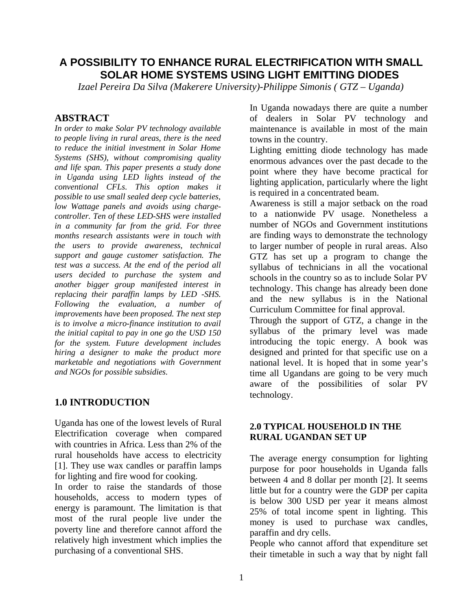# **A POSSIBILITY TO ENHANCE RURAL ELECTRIFICATION WITH SMALL SOLAR HOME SYSTEMS USING LIGHT EMITTING DIODES**

*Izael Pereira Da Silva (Makerere University)-Philippe Simonis ( GTZ – Uganda)*

## **ABSTRACT**

*In order to make Solar PV technology available to people living in rural areas, there is the need to reduce the initial investment in Solar Home Systems (SHS), without compromising quality and life span. This paper presents a study done in Uganda using LED lights instead of the conventional CFLs. This option makes it possible to use small sealed deep cycle batteries, low Wattage panels and avoids using chargecontroller. Ten of these LED-SHS were installed in a community far from the grid. For three months research assistants were in touch with the users to provide awareness, technical support and gauge customer satisfaction. The test was a success. At the end of the period all users decided to purchase the system and another bigger group manifested interest in replacing their paraffin lamps by LED -SHS. Following the evaluation, a number of improvements have been proposed. The next step is to involve a micro-finance institution to avail the initial capital to pay in one go the USD 150 for the system. Future development includes hiring a designer to make the product more marketable and negotiations with Government and NGOs for possible subsidies.*

## **1.0 INTRODUCTION**

Uganda has one of the lowest levels of Rural Electrification coverage when compared with countries in Africa. Less than 2% of the rural households have access to electricity [1]. They use wax candles or paraffin lamps for lighting and fire wood for cooking.

In order to raise the standards of those households, access to modern types of energy is paramount. The limitation is that most of the rural people live under the poverty line and therefore cannot afford the relatively high investment which implies the purchasing of a conventional SHS.

In Uganda nowadays there are quite a number of dealers in Solar PV technology and maintenance is available in most of the main towns in the country.

Lighting emitting diode technology has made enormous advances over the past decade to the point where they have become practical for lighting application, particularly where the light is required in a concentrated beam.

Awareness is still a major setback on the road to a nationwide PV usage. Nonetheless a number of NGOs and Government institutions are finding ways to demonstrate the technology to larger number of people in rural areas. Also GTZ has set up a program to change the syllabus of technicians in all the vocational schools in the country so as to include Solar PV technology. This change has already been done and the new syllabus is in the National Curriculum Committee for final approval.

Through the support of GTZ, a change in the syllabus of the primary level was made introducing the topic energy. A book was designed and printed for that specific use on a national level. It is hoped that in some year's time all Ugandans are going to be very much aware of the possibilities of solar PV technology.

### **2.0 TYPICAL HOUSEHOLD IN THE RURAL UGANDAN SET UP**

The average energy consumption for lighting purpose for poor households in Uganda falls between 4 and 8 dollar per month [2]. It seems little but for a country were the GDP per capita is below 300 USD per year it means almost 25% of total income spent in lighting. This money is used to purchase wax candles, paraffin and dry cells.

People who cannot afford that expenditure set their timetable in such a way that by night fall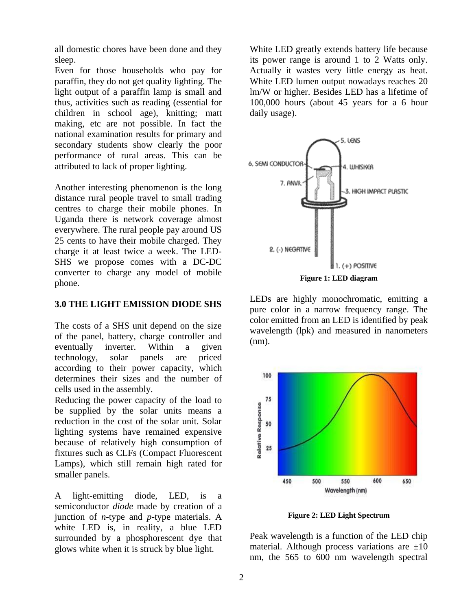all domestic chores have been done and they sleep.

Even for those households who pay for paraffin, they do not get quality lighting. The light output of a paraffin lamp is small and thus, activities such as reading (essential for children in school age), knitting; matt making, etc are not possible. In fact the national examination results for primary and secondary students show clearly the poor performance of rural areas. This can be attributed to lack of proper lighting.

Another interesting phenomenon is the long distance rural people travel to small trading centres to charge their mobile phones. In Uganda there is network coverage almost everywhere. The rural people pay around US 25 cents to have their mobile charged. They charge it at least twice a week. The LED-SHS we propose comes with a DC-DC converter to charge any model of mobile phone.

#### **3.0 THE LIGHT EMISSION DIODE SHS**

The costs of a SHS unit depend on the size of the panel, battery, charge controller and eventually inverter. Within a given technology, solar panels are priced according to their power capacity, which determines their sizes and the number of cells used in the assembly.

Reducing the power capacity of the load to be supplied by the solar units means a reduction in the cost of the solar unit. Solar lighting systems have remained expensive because of relatively high consumption of fixtures such as CLFs (Compact Fluorescent Lamps), which still remain high rated for smaller panels.

A light-emitting diode, LED, is a semiconductor *diode* made by creation of a junction of *n*-type and *p*-type materials. A white LED is, in reality, a blue LED surrounded by a phosphorescent dye that glows white when it is struck by blue light.

White LED greatly extends battery life because its power range is around 1 to 2 Watts only. Actually it wastes very little energy as heat. White LED lumen output nowadays reaches 20 lm/W or higher. Besides LED has a lifetime of 100,000 hours (about 45 years for a 6 hour daily usage).



**Figure 1: LED diagram**

LEDs are highly monochromatic, emitting a pure color in a narrow frequency range. The color emitted from an LED is identified by peak wavelength (lpk) and measured in nanometers (nm).



**Figure 2: LED Light Spectrum**

Peak wavelength is a function of the LED chip material. Although process variations are  $\pm 10$ nm, the 565 to 600 nm wavelength spectral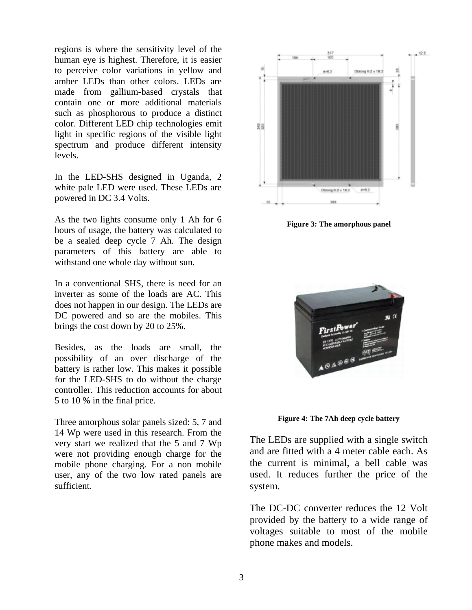regions is where the sensitivity level of the human eye is highest. Therefore, it is easier to perceive color variations in yellow and amber LEDs than other colors. LEDs are made from gallium-based crystals that contain one or more additional materials such as phosphorous to produce a distinct color. Different LED chip technologies emit light in specific regions of the visible light spectrum and produce different intensity levels.

In the LED-SHS designed in Uganda, 2 white pale LED were used. These LEDs are powered in DC 3.4 Volts.

As the two lights consume only 1 Ah for 6 hours of usage, the battery was calculated to be a sealed deep cycle 7 Ah. The design parameters of this battery are able to withstand one whole day without sun.

In a conventional SHS, there is need for an inverter as some of the loads are AC. This does not happen in our design. The LEDs are DC powered and so are the mobiles. This brings the cost down by 20 to 25%.

Besides, as the loads are small, the possibility of an over discharge of the battery is rather low. This makes it possible for the LED-SHS to do without the charge controller. This reduction accounts for about 5 to 10 % in the final price.

Three amorphous solar panels sized: 5, 7 and 14 Wp were used in this research. From the very start we realized that the 5 and 7 Wp were not providing enough charge for the mobile phone charging. For a non mobile user, any of the two low rated panels are sufficient.



**Figure 3: The amorphous panel**



**Figure 4: The 7Ah deep cycle battery**

The LEDs are supplied with a single switch and are fitted with a 4 meter cable each. As the current is minimal, a bell cable was used. It reduces further the price of the system.

The DC-DC converter reduces the 12 Volt provided by the battery to a wide range of voltages suitable to most of the mobile phone makes and models.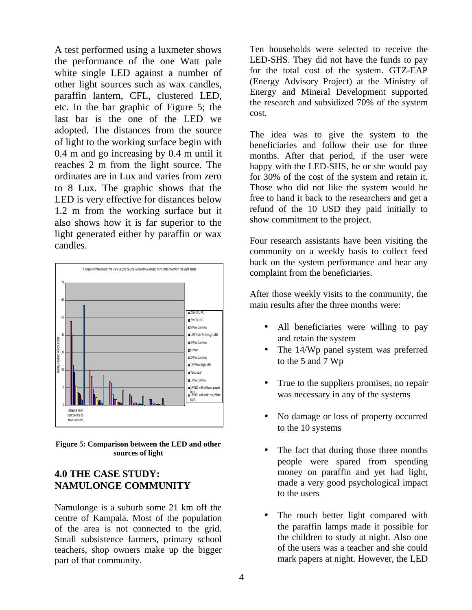A test performed using a luxmeter shows the performance of the one Watt pale white single LED against a number of other light sources such as wax candles, paraffin lantern, CFL, clustered LED, etc. In the bar graphic of Figure 5; the last bar is the one of the LED we adopted. The distances from the source of light to the working surface begin with 0.4 m and go increasing by 0.4 m until it reaches 2 m from the light source. The ordinates are in Lux and varies from zero to 8 Lux. The graphic shows that the LED is very effective for distances below 1.2 m from the working surface but it also shows how it is far superior to the light generated either by paraffin or wax candles.



**Figure 5: Comparison between the LED and other sources of light**

## **4.0 THE CASE STUDY: NAMULONGE COMMUNITY**

Namulonge is a suburb some 21 km off the centre of Kampala. Most of the population of the area is not connected to the grid. Small subsistence farmers, primary school teachers, shop owners make up the bigger part of that community.

Ten households were selected to receive the LED-SHS. They did not have the funds to pay for the total cost of the system. GTZ-EAP (Energy Advisory Project) at the Ministry of Energy and Mineral Development supported the research and subsidized 70% of the system cost.

The idea was to give the system to the beneficiaries and follow their use for three months. After that period, if the user were happy with the LED-SHS, he or she would pay for 30% of the cost of the system and retain it. Those who did not like the system would be free to hand it back to the researchers and get a refund of the 10 USD they paid initially to show commitment to the project.

Four research assistants have been visiting the community on a weekly basis to collect feed back on the system performance and hear any complaint from the beneficiaries.

After those weekly visits to the community, the main results after the three months were:

- All beneficiaries were willing to pay and retain the system
- The 14/Wp panel system was preferred to the 5 and 7 Wp
- True to the suppliers promises, no repair was necessary in any of the systems
- No damage or loss of property occurred to the 10 systems
- The fact that during those three months people were spared from spending money on paraffin and yet had light, made a very good psychological impact to the users
- The much better light compared with the paraffin lamps made it possible for the children to study at night. Also one of the users was a teacher and she could mark papers at night. However, the LED